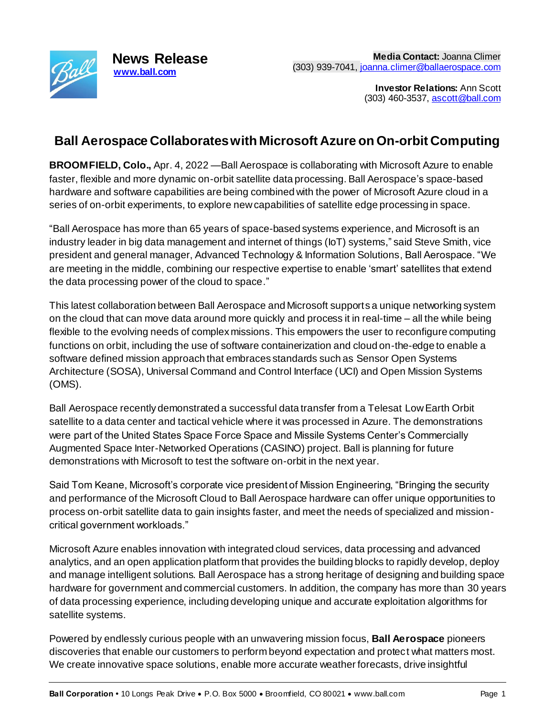

**Investor Relations:** Ann Scott (303) 460-3537, [ascott@ball.com](mailto:ascott@ball.com)

## **Ball Aerospace Collaborates with Microsoft Azure on On-orbit Computing**

**BROOMFIELD, Colo.,** Apr. 4, 2022 —Ball Aerospace is collaborating with Microsoft Azure to enable faster, flexible and more dynamic on-orbit satellite data processing. Ball Aerospace's space-based hardware and software capabilities are being combined with the power of Microsoft Azure cloud in a series of on-orbit experiments, to explore new capabilities of satellite edge processing in space.

"Ball Aerospace has more than 65 years of space-based systems experience, and Microsoft is an industry leader in big data management and internet of things (IoT) systems," said Steve Smith, vice president and general manager, Advanced Technology & Information Solutions, Ball Aerospace. "We are meeting in the middle, combining our respective expertise to enable 'smart' satellites that extend the data processing power of the cloud to space."

This latest collaboration between Ball Aerospace and Microsoft supports a unique networking system on the cloud that can move data around more quickly and process it in real-time – all the while being flexible to the evolving needs of complex missions. This empowers the user to reconfigure computing functions on orbit, including the use of software containerization and cloud on-the-edge to enable a software defined mission approach that embraces standards such as Sensor Open Systems Architecture (SOSA), Universal Command and Control Interface (UCI) and Open Mission Systems (OMS).

Ball Aerospace recently demonstrated a successful data transfer from a Telesat Low Earth Orbit satellite to a data center and tactical vehicle where it was processed in Azure. The demonstrations were part of the United States Space Force Space and Missile Systems Center's Commercially Augmented Space Inter-Networked Operations (CASINO) project. Ball is planning for future demonstrations with Microsoft to test the software on-orbit in the next year.

Said Tom Keane, Microsoft's corporate vice president of Mission Engineering, "Bringing the security and performance of the Microsoft Cloud to Ball Aerospace hardware can offer unique opportunities to process on-orbit satellite data to gain insights faster, and meet the needs of specialized and missioncritical government workloads."

Microsoft Azure enables innovation with integrated cloud services, data processing and advanced analytics, and an open application platform that provides the building blocks to rapidly develop, deploy and manage intelligent solutions. Ball Aerospace has a strong heritage of designing and building space hardware for government and commercial customers. In addition, the company has more than 30 years of data processing experience, including developing unique and accurate exploitation algorithms for satellite systems.

Powered by endlessly curious people with an unwavering mission focus, **Ball Aerospace** pioneers discoveries that enable our customers to perform beyond expectation and protect what matters most. We create innovative space solutions, enable more accurate weather forecasts, drive insightful